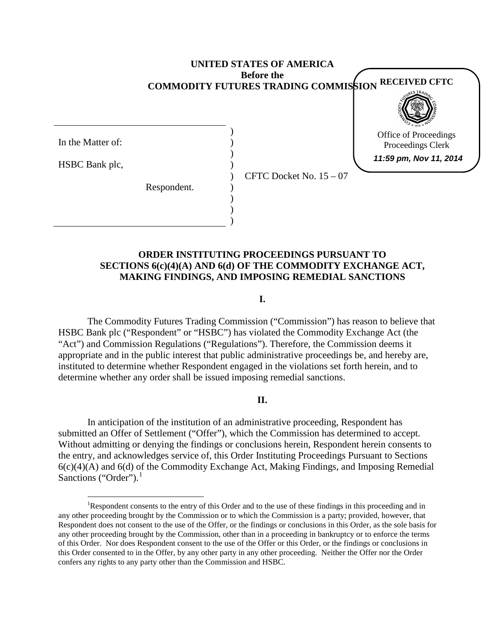## **UNITED STATES OF AMERICA Before the COMMODITY FUTURES TRADING COMMISSION RECEIVED CFTC**

Office of Proceedings Proceedings Clerk **11:59 pm, Nov 11, 2014**

In the Matter of:

HSBC Bank plc,

Respondent.

CFTC Docket No. 15 – 07

## **ORDER INSTITUTING PROCEEDINGS PURSUANT TO SECTIONS 6(c)(4)(A) AND 6(d) OF THE COMMODITY EXCHANGE ACT, MAKING FINDINGS, AND IMPOSING REMEDIAL SANCTIONS**

) ) ) ) ) ) ) ) )

**I.**

The Commodity Futures Trading Commission ("Commission") has reason to believe that HSBC Bank plc ("Respondent" or "HSBC") has violated the Commodity Exchange Act (the "Act") and Commission Regulations ("Regulations"). Therefore, the Commission deems it appropriate and in the public interest that public administrative proceedings be, and hereby are, instituted to determine whether Respondent engaged in the violations set forth herein, and to determine whether any order shall be issued imposing remedial sanctions.

#### **II.**

In anticipation of the institution of an administrative proceeding, Respondent has submitted an Offer of Settlement ("Offer"), which the Commission has determined to accept. Without admitting or denying the findings or conclusions herein, Respondent herein consents to the entry, and acknowledges service of, this Order Instituting Proceedings Pursuant to Sections 6(c)(4)(A) and 6(d) of the Commodity Exchange Act, Making Findings, and Imposing Remedial Sanctions ("Order"). $<sup>1</sup>$  $<sup>1</sup>$  $<sup>1</sup>$ </sup>

<span id="page-0-0"></span> $\frac{1}{1}$ Respondent consents to the entry of this Order and to the use of these findings in this proceeding and in any other proceeding brought by the Commission or to which the Commission is a party; provided, however, that Respondent does not consent to the use of the Offer*,* or the findings or conclusions in this Order, as the sole basis for any other proceeding brought by the Commission, other than in a proceeding in bankruptcy or to enforce the terms of this Order. Nor does Respondent consent to the use of the Offer or this Order, or the findings or conclusions in this Order consented to in the Offer, by any other party in any other proceeding. Neither the Offer nor the Order confers any rights to any party other than the Commission and HSBC.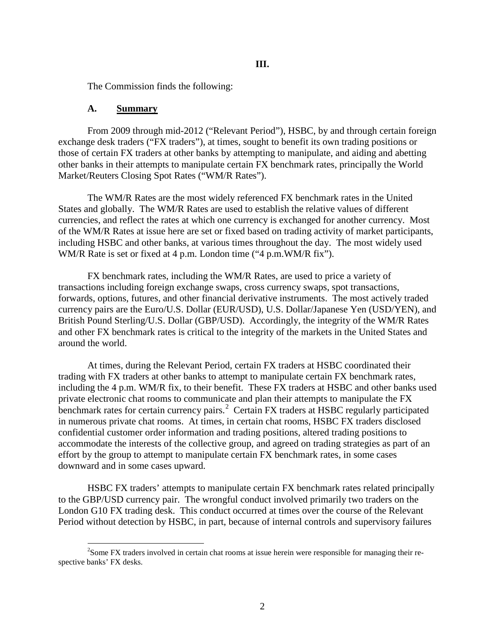The Commission finds the following:

#### **A. Summary**

From 2009 through mid-2012 ("Relevant Period"), HSBC, by and through certain foreign exchange desk traders ("FX traders"), at times, sought to benefit its own trading positions or those of certain FX traders at other banks by attempting to manipulate, and aiding and abetting other banks in their attempts to manipulate certain FX benchmark rates, principally the World Market/Reuters Closing Spot Rates ("WM/R Rates").

The WM/R Rates are the most widely referenced FX benchmark rates in the United States and globally. The WM/R Rates are used to establish the relative values of different currencies, and reflect the rates at which one currency is exchanged for another currency. Most of the WM/R Rates at issue here are set or fixed based on trading activity of market participants, including HSBC and other banks, at various times throughout the day. The most widely used WM/R Rate is set or fixed at 4 p.m. London time ("4 p.m.WM/R fix").

FX benchmark rates, including the WM/R Rates, are used to price a variety of transactions including foreign exchange swaps, cross currency swaps, spot transactions, forwards, options, futures, and other financial derivative instruments. The most actively traded currency pairs are the Euro/U.S. Dollar (EUR/USD), U.S. Dollar/Japanese Yen (USD/YEN), and British Pound Sterling/U.S. Dollar (GBP/USD). Accordingly, the integrity of the WM/R Rates and other FX benchmark rates is critical to the integrity of the markets in the United States and around the world.

At times, during the Relevant Period, certain FX traders at HSBC coordinated their trading with FX traders at other banks to attempt to manipulate certain FX benchmark rates, including the 4 p.m. WM/R fix, to their benefit. These FX traders at HSBC and other banks used private electronic chat rooms to communicate and plan their attempts to manipulate the FX benchmark rates for certain currency pairs.<sup>[2](#page-1-0)</sup> Certain FX traders at HSBC regularly participated in numerous private chat rooms. At times, in certain chat rooms, HSBC FX traders disclosed confidential customer order information and trading positions, altered trading positions to accommodate the interests of the collective group, and agreed on trading strategies as part of an effort by the group to attempt to manipulate certain FX benchmark rates, in some cases downward and in some cases upward.

HSBC FX traders' attempts to manipulate certain FX benchmark rates related principally to the GBP/USD currency pair. The wrongful conduct involved primarily two traders on the London G10 FX trading desk. This conduct occurred at times over the course of the Relevant Period without detection by HSBC, in part, because of internal controls and supervisory failures

<span id="page-1-0"></span> $\frac{1}{2}$ <sup>2</sup>Some FX traders involved in certain chat rooms at issue herein were responsible for managing their respective banks' FX desks.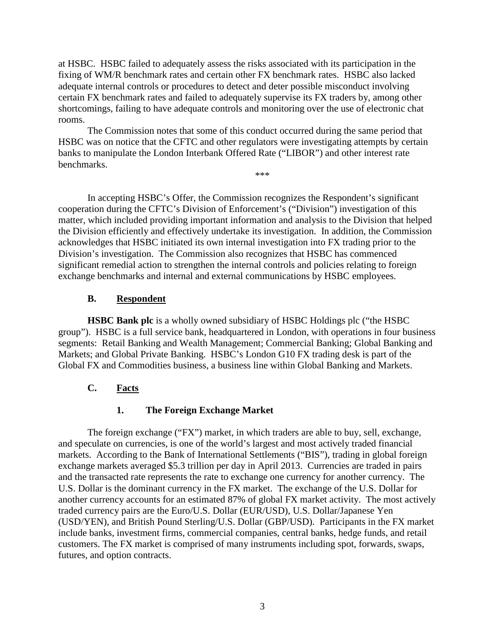at HSBC. HSBC failed to adequately assess the risks associated with its participation in the fixing of WM/R benchmark rates and certain other FX benchmark rates. HSBC also lacked adequate internal controls or procedures to detect and deter possible misconduct involving certain FX benchmark rates and failed to adequately supervise its FX traders by, among other shortcomings, failing to have adequate controls and monitoring over the use of electronic chat rooms.

The Commission notes that some of this conduct occurred during the same period that HSBC was on notice that the CFTC and other regulators were investigating attempts by certain banks to manipulate the London Interbank Offered Rate ("LIBOR") and other interest rate benchmarks. \*\*\*

In accepting HSBC's Offer, the Commission recognizes the Respondent's significant cooperation during the CFTC's Division of Enforcement's ("Division") investigation of this matter, which included providing important information and analysis to the Division that helped the Division efficiently and effectively undertake its investigation. In addition, the Commission acknowledges that HSBC initiated its own internal investigation into FX trading prior to the Division's investigation. The Commission also recognizes that HSBC has commenced significant remedial action to strengthen the internal controls and policies relating to foreign exchange benchmarks and internal and external communications by HSBC employees.

## **B. Respondent**

**HSBC Bank plc** is a wholly owned subsidiary of HSBC Holdings plc ("the HSBC group"). HSBC is a full service bank, headquartered in London, with operations in four business segments: Retail Banking and Wealth Management; Commercial Banking; Global Banking and Markets; and Global Private Banking. HSBC's London G10 FX trading desk is part of the Global FX and Commodities business, a business line within Global Banking and Markets.

# **C. Facts**

# **1. The Foreign Exchange Market**

The foreign exchange ("FX") market, in which traders are able to buy, sell, exchange, and speculate on currencies, is one of the world's largest and most actively traded financial markets. According to the Bank of International Settlements ("BIS"), trading in global foreign exchange markets averaged \$5.3 trillion per day in April 2013. Currencies are traded in pairs and the transacted rate represents the rate to exchange one currency for another currency. The U.S. Dollar is the dominant currency in the FX market. The exchange of the U.S. Dollar for another currency accounts for an estimated 87% of global FX market activity. The most actively traded currency pairs are the Euro/U.S. Dollar (EUR/USD), U.S. Dollar/Japanese Yen (USD/YEN), and British Pound Sterling/U.S. Dollar (GBP/USD). Participants in the FX market include banks, investment firms, commercial companies, central banks, hedge funds, and retail customers. The FX market is comprised of many instruments including spot, forwards, swaps, futures, and option contracts.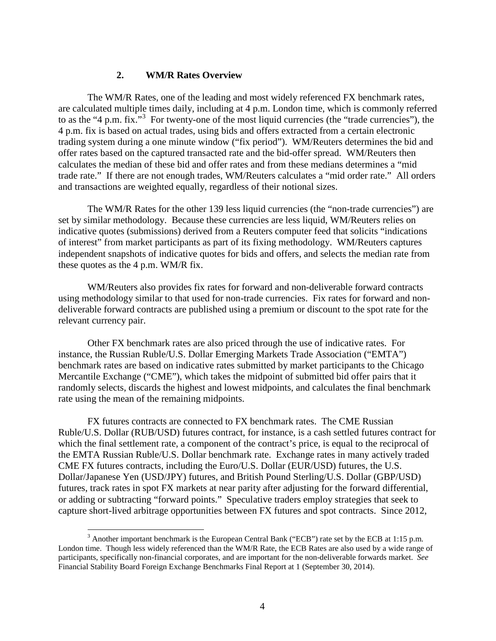#### **2. WM/R Rates Overview**

The WM/R Rates, one of the leading and most widely referenced FX benchmark rates, are calculated multiple times daily, including at 4 p.m. London time, which is commonly referred to as the "4 p.m. fix."<sup>[3](#page-3-0)</sup> For twenty-one of the most liquid currencies (the "trade currencies"), the 4 p.m. fix is based on actual trades, using bids and offers extracted from a certain electronic trading system during a one minute window ("fix period"). WM/Reuters determines the bid and offer rates based on the captured transacted rate and the bid-offer spread. WM/Reuters then calculates the median of these bid and offer rates and from these medians determines a "mid trade rate." If there are not enough trades, WM/Reuters calculates a "mid order rate." All orders and transactions are weighted equally, regardless of their notional sizes.

The WM/R Rates for the other 139 less liquid currencies (the "non-trade currencies") are set by similar methodology. Because these currencies are less liquid, WM/Reuters relies on indicative quotes (submissions) derived from a Reuters computer feed that solicits "indications of interest" from market participants as part of its fixing methodology. WM/Reuters captures independent snapshots of indicative quotes for bids and offers, and selects the median rate from these quotes as the 4 p.m. WM/R fix.

WM/Reuters also provides fix rates for forward and non-deliverable forward contracts using methodology similar to that used for non-trade currencies. Fix rates for forward and nondeliverable forward contracts are published using a premium or discount to the spot rate for the relevant currency pair.

Other FX benchmark rates are also priced through the use of indicative rates. For instance, the Russian Ruble/U.S. Dollar Emerging Markets Trade Association ("EMTA") benchmark rates are based on indicative rates submitted by market participants to the Chicago Mercantile Exchange ("CME"), which takes the midpoint of submitted bid offer pairs that it randomly selects, discards the highest and lowest midpoints, and calculates the final benchmark rate using the mean of the remaining midpoints.

FX futures contracts are connected to FX benchmark rates. The CME Russian Ruble/U.S. Dollar (RUB/USD) futures contract, for instance, is a cash settled futures contract for which the final settlement rate, a component of the contract's price, is equal to the reciprocal of the EMTA Russian Ruble/U.S. Dollar benchmark rate. Exchange rates in many actively traded CME FX futures contracts, including the Euro/U.S. Dollar (EUR/USD) futures, the U.S. Dollar/Japanese Yen (USD/JPY) futures, and British Pound Sterling/U.S. Dollar (GBP/USD) futures, track rates in spot FX markets at near parity after adjusting for the forward differential, or adding or subtracting "forward points." Speculative traders employ strategies that seek to capture short-lived arbitrage opportunities between FX futures and spot contracts. Since 2012,

<span id="page-3-0"></span> $3$  Another important benchmark is the European Central Bank ("ECB") rate set by the ECB at 1:15 p.m. London time. Though less widely referenced than the WM/R Rate, the ECB Rates are also used by a wide range of participants, specifically non-financial corporates, and are important for the non-deliverable forwards market. *See* Financial Stability Board Foreign Exchange Benchmarks Final Report at 1 (September 30, 2014).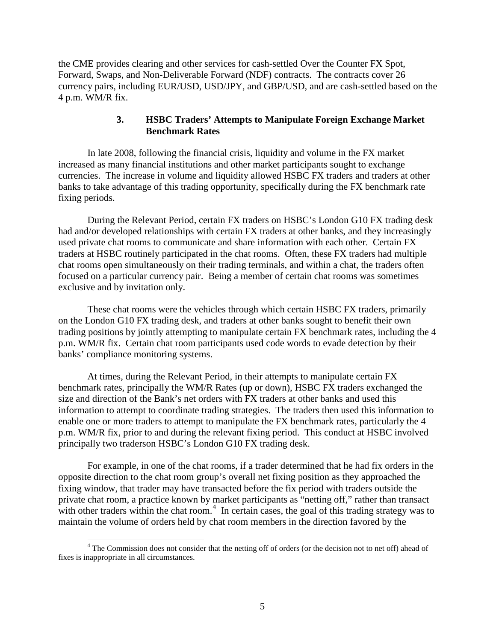the CME provides clearing and other services for cash-settled Over the Counter FX Spot, Forward, Swaps, and Non-Deliverable Forward (NDF) contracts. The contracts cover 26 currency pairs, including EUR/USD, USD/JPY, and GBP/USD, and are cash-settled based on the 4 p.m. WM/R fix.

## **3. HSBC Traders' Attempts to Manipulate Foreign Exchange Market Benchmark Rates**

In late 2008, following the financial crisis, liquidity and volume in the FX market increased as many financial institutions and other market participants sought to exchange currencies. The increase in volume and liquidity allowed HSBC FX traders and traders at other banks to take advantage of this trading opportunity, specifically during the FX benchmark rate fixing periods.

During the Relevant Period, certain FX traders on HSBC's London G10 FX trading desk had and/or developed relationships with certain FX traders at other banks, and they increasingly used private chat rooms to communicate and share information with each other. Certain FX traders at HSBC routinely participated in the chat rooms. Often, these FX traders had multiple chat rooms open simultaneously on their trading terminals, and within a chat, the traders often focused on a particular currency pair. Being a member of certain chat rooms was sometimes exclusive and by invitation only.

These chat rooms were the vehicles through which certain HSBC FX traders, primarily on the London G10 FX trading desk, and traders at other banks sought to benefit their own trading positions by jointly attempting to manipulate certain FX benchmark rates, including the 4 p.m. WM/R fix. Certain chat room participants used code words to evade detection by their banks' compliance monitoring systems.

At times, during the Relevant Period, in their attempts to manipulate certain FX benchmark rates, principally the WM/R Rates (up or down), HSBC FX traders exchanged the size and direction of the Bank's net orders with FX traders at other banks and used this information to attempt to coordinate trading strategies. The traders then used this information to enable one or more traders to attempt to manipulate the FX benchmark rates, particularly the 4 p.m. WM/R fix, prior to and during the relevant fixing period. This conduct at HSBC involved principally two traderson HSBC's London G10 FX trading desk.

For example, in one of the chat rooms, if a trader determined that he had fix orders in the opposite direction to the chat room group's overall net fixing position as they approached the fixing window, that trader may have transacted before the fix period with traders outside the private chat room, a practice known by market participants as "netting off," rather than transact with other traders within the chat room.<sup>[4](#page-4-0)</sup> In certain cases, the goal of this trading strategy was to maintain the volume of orders held by chat room members in the direction favored by the

<span id="page-4-0"></span><sup>&</sup>lt;sup>4</sup> The Commission does not consider that the netting off of orders (or the decision not to net off) ahead of fixes is inappropriate in all circumstances.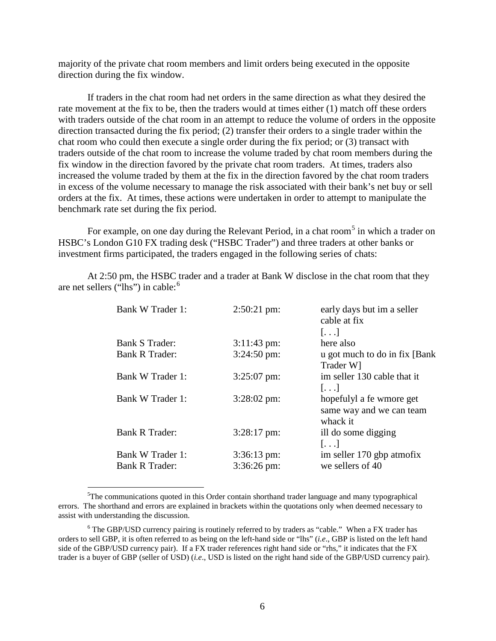majority of the private chat room members and limit orders being executed in the opposite direction during the fix window.

If traders in the chat room had net orders in the same direction as what they desired the rate movement at the fix to be, then the traders would at times either (1) match off these orders with traders outside of the chat room in an attempt to reduce the volume of orders in the opposite direction transacted during the fix period; (2) transfer their orders to a single trader within the chat room who could then execute a single order during the fix period; or (3) transact with traders outside of the chat room to increase the volume traded by chat room members during the fix window in the direction favored by the private chat room traders. At times, traders also increased the volume traded by them at the fix in the direction favored by the chat room traders in excess of the volume necessary to manage the risk associated with their bank's net buy or sell orders at the fix. At times, these actions were undertaken in order to attempt to manipulate the benchmark rate set during the fix period.

For example, on one day during the Relevant Period, in a chat room<sup>[5](#page-5-0)</sup> in which a trader on HSBC's London G10 FX trading desk ("HSBC Trader") and three traders at other banks or investment firms participated, the traders engaged in the following series of chats:

At 2:50 pm, the HSBC trader and a trader at Bank W disclose in the chat room that they are net sellers ("lhs") in cable:<sup>[6](#page-5-1)</sup>

| Bank W Trader 1:      | $2:50:21$ pm:          | early days but im a seller<br>cable at fix |
|-----------------------|------------------------|--------------------------------------------|
|                       |                        | $\left[\ldots\right]$                      |
| Bank S Trader:        | $3:11:43$ pm:          | here also                                  |
| Bank R Trader:        | $3:24:50 \text{ pm}$   | u got much to do in fix [Bank]             |
|                       |                        | Trader W]                                  |
| Bank W Trader 1:      | $3:25:07$ pm:          | im seller 130 cable that it                |
|                       |                        | $[\ldots]$                                 |
| Bank W Trader 1:      | $3:28:02 \text{ pm}$   | hopefulyl a fe wmore get                   |
|                       |                        | same way and we can team                   |
|                       |                        | whack it                                   |
| <b>Bank R Trader:</b> | $3:28:17$ pm:          | ill do some digging                        |
|                       |                        | $[\ldots]$                                 |
| Bank W Trader 1:      | $3:36:13 \text{ pm}$ : | im seller 170 gbp atmofix                  |
| <b>Bank R Trader:</b> | $3:36:26 \text{ pm}$   | we sellers of 40                           |
|                       |                        |                                            |

<span id="page-5-0"></span> <sup>5</sup>  ${}^{5}$ The communications quoted in this Order contain shorthand trader language and many typographical errors. The shorthand and errors are explained in brackets within the quotations only when deemed necessary to assist with understanding the discussion.

<span id="page-5-1"></span> $6$  The GBP/USD currency pairing is routinely referred to by traders as "cable." When a FX trader has orders to sell GBP, it is often referred to as being on the left-hand side or "lhs" (*i.e*., GBP is listed on the left hand side of the GBP/USD currency pair). If a FX trader references right hand side or "rhs," it indicates that the FX trader is a buyer of GBP (seller of USD) (*i.e*., USD is listed on the right hand side of the GBP/USD currency pair).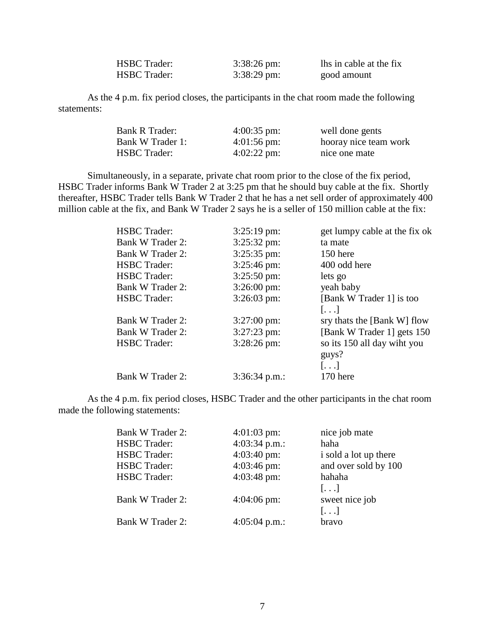| <b>HSBC Trader:</b> | $3:38:26 \text{ pm}$ : | lhs in cable at the fix |
|---------------------|------------------------|-------------------------|
| <b>HSBC Trader:</b> | $3:38:29 \text{ pm}$ : | good amount             |

As the 4 p.m. fix period closes, the participants in the chat room made the following statements:

| Bank R Trader:      | $4:00:35$ pm:        | well done gents       |
|---------------------|----------------------|-----------------------|
| Bank W Trader 1:    | $4:01:56 \text{ pm}$ | hooray nice team work |
| <b>HSBC</b> Trader: | $4:02:22$ pm:        | nice one mate         |

Simultaneously, in a separate, private chat room prior to the close of the fix period, HSBC Trader informs Bank W Trader 2 at 3:25 pm that he should buy cable at the fix. Shortly thereafter, HSBC Trader tells Bank W Trader 2 that he has a net sell order of approximately 400 million cable at the fix, and Bank W Trader 2 says he is a seller of 150 million cable at the fix:

| <b>HSBC</b> Trader: | $3:25:19$ pm:        | get lumpy cable at the fix ok |
|---------------------|----------------------|-------------------------------|
| Bank W Trader 2:    | 3:25:32 pm:          | ta mate                       |
| Bank W Trader 2:    | 3:25:35 pm:          | 150 here                      |
| <b>HSBC</b> Trader: | $3:25:46 \text{ pm}$ | 400 odd here                  |
| <b>HSBC</b> Trader: | $3:25:50 \text{ pm}$ | lets go                       |
| Bank W Trader 2:    | $3:26:00 \text{ pm}$ | yeah baby                     |
| <b>HSBC</b> Trader: | $3:26:03$ pm:        | [Bank W Trader 1] is too      |
|                     |                      | $[\ldots]$                    |
| Bank W Trader 2:    | $3:27:00 \text{ pm}$ | sry thats the [Bank W] flow   |
| Bank W Trader 2:    | $3:27:23$ pm:        | [Bank W Trader 1] gets 150    |
| <b>HSBC</b> Trader: | $3:28:26$ pm:        | so its 150 all day wiht you   |
|                     |                      | guys?                         |
|                     |                      | $[\ldots]$                    |
| Bank W Trader 2:    | $3:36:34$ p.m.:      | 170 here                      |
|                     |                      |                               |

As the 4 p.m. fix period closes, HSBC Trader and the other participants in the chat room made the following statements:

| <b>Bank W Trader 2:</b> | $4:01:03$ pm:   | nice job mate         |
|-------------------------|-----------------|-----------------------|
| <b>HSBC</b> Trader:     | 4:03:34 p.m.:   | haha                  |
| <b>HSBC</b> Trader:     | $4:03:40$ pm:   | i sold a lot up there |
| <b>HSBC</b> Trader:     | $4:03:46$ pm:   | and over sold by 100  |
| <b>HSBC</b> Trader:     | $4:03:48$ pm:   | hahaha                |
|                         |                 | $[\ldots]$            |
| <b>Bank W Trader 2:</b> | $4:04:06$ pm:   | sweet nice job        |
|                         |                 | $[\ldots]$            |
| <b>Bank W Trader 2:</b> | $4:05:04$ p.m.: | bravo                 |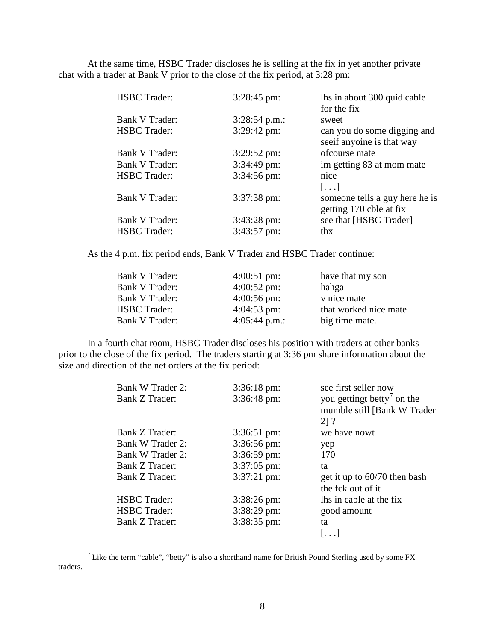At the same time, HSBC Trader discloses he is selling at the fix in yet another private chat with a trader at Bank V prior to the close of the fix period, at 3:28 pm:

| <b>HSBC</b> Trader:   | 3:28:45 pm:            | lhs in about 300 quid cable    |
|-----------------------|------------------------|--------------------------------|
|                       |                        | for the fix                    |
| Bank V Trader:        | $3:28:54$ p.m.:        | sweet                          |
| <b>HSBC</b> Trader:   | 3:29:42 pm:            | can you do some digging and    |
|                       |                        | see if anyoine is that way     |
| Bank V Trader:        | $3:29:52 \text{ pm}$   | ofcourse mate                  |
| <b>Bank V Trader:</b> | $3:34:49$ pm:          | im getting 83 at mom mate      |
| <b>HSBC</b> Trader:   | $3:34:56 \text{ pm}$ : | nice                           |
|                       |                        | $[\ldots]$                     |
| <b>Bank V Trader:</b> | $3:37:38 \text{ pm}$ : | someone tells a guy here he is |
|                       |                        | getting 170 cble at fix        |
| <b>Bank V Trader:</b> | $3:43:28 \text{ pm}$ : | see that [HSBC Trader]         |
| <b>HSBC</b> Trader:   | $3:43:57$ pm:          | thx                            |
|                       |                        |                                |

As the 4 p.m. fix period ends, Bank V Trader and HSBC Trader continue:

| Bank V Trader:        | $4:00:51$ pm:          | have that my son      |
|-----------------------|------------------------|-----------------------|
| Bank V Trader:        | $4:00:52 \text{ pm}$ : | hahga                 |
| Bank V Trader:        | $4:00:56$ pm:          | v nice mate           |
| <b>HSBC</b> Trader:   | $4:04:53$ pm:          | that worked nice mate |
| <b>Bank V Trader:</b> | 4:05:44 p.m.:          | big time mate.        |

In a fourth chat room, HSBC Trader discloses his position with traders at other banks prior to the close of the fix period. The traders starting at 3:36 pm share information about the size and direction of the net orders at the fix period:

| Bank W Trader 2:      | $3:36:18 \text{ pm}$ : | see first seller now                                                  |
|-----------------------|------------------------|-----------------------------------------------------------------------|
| <b>Bank Z Trader:</b> | $3:36:48$ pm:          | you gettingt betty <sup>7</sup> on the<br>mumble still [Bank W Trader |
|                       |                        | 21?                                                                   |
| Bank Z Trader:        | $3:36:51 \text{ pm}$ : | we have nowt                                                          |
| Bank W Trader 2:      | $3:36:56 \text{ pm}$ : | yep                                                                   |
| Bank W Trader 2:      | $3:36:59$ pm:          | 170                                                                   |
| Bank Z Trader:        | $3:37:05$ pm:          | ta                                                                    |
| Bank Z Trader:        | $3:37:21 \text{ pm}$ : | get it up to $60/70$ then bash                                        |
|                       |                        | the fck out of it                                                     |
| <b>HSBC</b> Trader:   | $3:38:26 \text{ pm}$   | lhs in cable at the fix                                               |
| <b>HSBC</b> Trader:   | $3:38:29$ pm:          | good amount                                                           |
| Bank Z Trader:        | 3:38:35 pm:            | ta                                                                    |
|                       |                        | $\left  \ldots \right $                                               |

<span id="page-7-0"></span><sup>&</sup>lt;sup>7</sup> Like the term "cable", "betty" is also a shorthand name for British Pound Sterling used by some FX traders.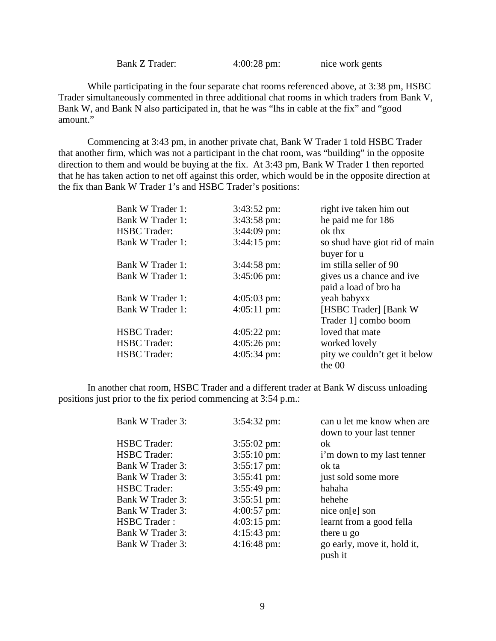$4:00:28$  pm: nice work gents

While participating in the four separate chat rooms referenced above, at 3:38 pm, HSBC Trader simultaneously commented in three additional chat rooms in which traders from Bank V, Bank W, and Bank N also participated in, that he was "lhs in cable at the fix" and "good amount."

Commencing at 3:43 pm, in another private chat, Bank W Trader 1 told HSBC Trader that another firm, which was not a participant in the chat room, was "building" in the opposite direction to them and would be buying at the fix. At 3:43 pm, Bank W Trader 1 then reported that he has taken action to net off against this order, which would be in the opposite direction at the fix than Bank W Trader 1's and HSBC Trader's positions:

| Bank W Trader 1:    | $3:43:52 \text{ pm}$ : | right ive taken him out                            |
|---------------------|------------------------|----------------------------------------------------|
| Bank W Trader 1:    | $3:43:58 \text{ pm}$ : | he paid me for 186                                 |
| <b>HSBC</b> Trader: | $3:44:09$ pm:          | ok thx                                             |
| Bank W Trader 1:    | $3:44:15 \text{ pm}$ : | so shud have giot rid of main<br>buyer for u       |
| Bank W Trader 1:    | $3:44:58 \text{ pm}$ : | im stilla seller of 90                             |
| Bank W Trader 1:    | $3:45:06 \text{ pm}$   | gives us a chance and ive<br>paid a load of bro ha |
| Bank W Trader 1:    | $4:05:03 \text{ pm}$   | yeah babyxx                                        |
| Bank W Trader 1:    | $4:05:11 \text{ pm}$   | [HSBC Trader] [Bank W                              |
|                     |                        | Trader 1] combo boom                               |
| <b>HSBC</b> Trader: | $4:05:22 \text{ pm}$   | loved that mate                                    |
| <b>HSBC</b> Trader: | $4:05:26 \text{ pm}$   | worked lovely                                      |
| <b>HSBC</b> Trader: | $4:05:34 \text{ pm}$ : | pity we couldn't get it below<br>the $00$          |

In another chat room, HSBC Trader and a different trader at Bank W discuss unloading positions just prior to the fix period commencing at 3:54 p.m.:

| Bank W Trader 3:    | $3:54:32 \text{ pm}$ : | can u let me know when are  |
|---------------------|------------------------|-----------------------------|
|                     |                        | down to your last tenner    |
| <b>HSBC</b> Trader: | $3:55:02 \text{ pm}$   | ok                          |
| <b>HSBC</b> Trader: | $3:55:10 \text{ pm}$   | i'm down to my last tenner  |
| Bank W Trader 3:    | $3:55:17$ pm:          | ok ta                       |
| Bank W Trader 3:    | 3:55:41 pm:            | just sold some more         |
| <b>HSBC</b> Trader: | $3:55:49$ pm:          | hahaha                      |
| Bank W Trader 3:    | $3:55:51 \text{ pm}$ : | hehehe                      |
| Bank W Trader 3:    | $4:00:57$ pm:          | nice on [e] son             |
| <b>HSBC</b> Trader: | $4:03:15$ pm:          | learnt from a good fella    |
| Bank W Trader 3:    | $4:15:43 \text{ pm}$ : | there u go                  |
| Bank W Trader 3:    | $4:16:48 \text{ pm}$ : | go early, move it, hold it, |
|                     |                        | push it                     |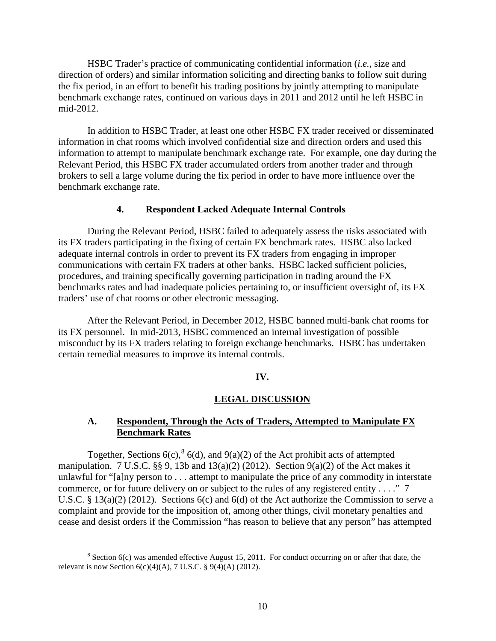HSBC Trader's practice of communicating confidential information (*i.e.*, size and direction of orders) and similar information soliciting and directing banks to follow suit during the fix period, in an effort to benefit his trading positions by jointly attempting to manipulate benchmark exchange rates, continued on various days in 2011 and 2012 until he left HSBC in mid-2012.

In addition to HSBC Trader, at least one other HSBC FX trader received or disseminated information in chat rooms which involved confidential size and direction orders and used this information to attempt to manipulate benchmark exchange rate. For example, one day during the Relevant Period, this HSBC FX trader accumulated orders from another trader and through brokers to sell a large volume during the fix period in order to have more influence over the benchmark exchange rate.

### **4. Respondent Lacked Adequate Internal Controls**

During the Relevant Period, HSBC failed to adequately assess the risks associated with its FX traders participating in the fixing of certain FX benchmark rates. HSBC also lacked adequate internal controls in order to prevent its FX traders from engaging in improper communications with certain FX traders at other banks. HSBC lacked sufficient policies, procedures, and training specifically governing participation in trading around the FX benchmarks rates and had inadequate policies pertaining to, or insufficient oversight of, its FX traders' use of chat rooms or other electronic messaging.

After the Relevant Period, in December 2012, HSBC banned multi-bank chat rooms for its FX personnel. In mid-2013, HSBC commenced an internal investigation of possible misconduct by its FX traders relating to foreign exchange benchmarks. HSBC has undertaken certain remedial measures to improve its internal controls.

#### **IV.**

#### **LEGAL DISCUSSION**

## **A. Respondent, Through the Acts of Traders, Attempted to Manipulate FX Benchmark Rates**

Together, Sections 6(c),  ${}^{8}$  ${}^{8}$  ${}^{8}$  6(d), and 9(a)(2) of the Act prohibit acts of attempted manipulation. 7 U.S.C.  $\S$ , 9, 13b and 13(a)(2) (2012). Section 9(a)(2) of the Act makes it unlawful for "[a]ny person to . . . attempt to manipulate the price of any commodity in interstate commerce, or for future delivery on or subject to the rules of any registered entity . . . ." 7 U.S.C. § 13(a)(2) (2012). Sections 6(c) and 6(d) of the Act authorize the Commission to serve a complaint and provide for the imposition of, among other things, civil monetary penalties and cease and desist orders if the Commission "has reason to believe that any person" has attempted

<span id="page-9-0"></span> $8$  Section 6(c) was amended effective August 15, 2011. For conduct occurring on or after that date, the relevant is now Section  $6(c)(4)(A)$ , 7 U.S.C. § 9(4)(A) (2012).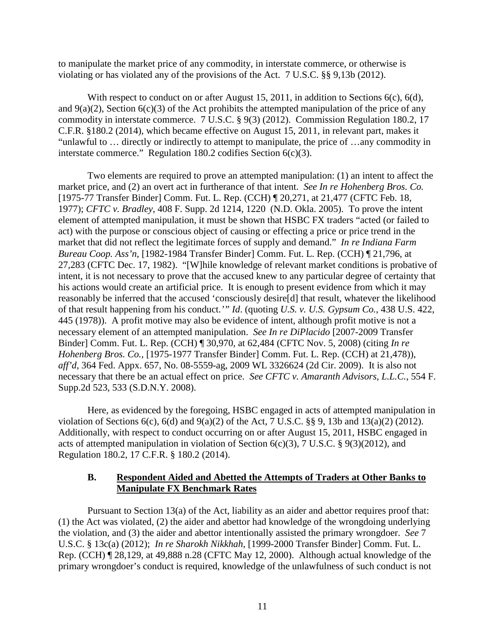to manipulate the market price of any commodity, in interstate commerce, or otherwise is violating or has violated any of the provisions of the Act. 7 U.S.C. §§ 9,13b (2012).

With respect to conduct on or after August 15, 2011, in addition to Sections 6(c), 6(d), and  $9(a)(2)$ , Section  $6(c)(3)$  of the Act prohibits the attempted manipulation of the price of any commodity in interstate commerce. 7 U.S.C. § 9(3) (2012). Commission Regulation 180.2, 17 C.F.R. §180.2 (2014), which became effective on August 15, 2011, in relevant part, makes it "unlawful to … directly or indirectly to attempt to manipulate, the price of …any commodity in interstate commerce." Regulation 180.2 codifies Section 6(c)(3).

Two elements are required to prove an attempted manipulation: (1) an intent to affect the market price, and (2) an overt act in furtherance of that intent. *See In re Hohenberg Bros. Co.* [1975-77 Transfer Binder] Comm. Fut. L. Rep. (CCH) ¶ 20,271, at 21,477 (CFTC Feb. 18, 1977); *CFTC v. Bradley*, 408 F. Supp. 2d 1214, 1220 (N.D. Okla. 2005). To prove the intent element of attempted manipulation, it must be shown that HSBC FX traders "acted (or failed to act) with the purpose or conscious object of causing or effecting a price or price trend in the market that did not reflect the legitimate forces of supply and demand." *In re Indiana Farm Bureau Coop. Ass'n*, [1982-1984 Transfer Binder] Comm. Fut. L. Rep. (CCH) ¶ 21,796, at 27,283 (CFTC Dec. 17, 1982). "[W]hile knowledge of relevant market conditions is probative of intent, it is not necessary to prove that the accused knew to any particular degree of certainty that his actions would create an artificial price. It is enough to present evidence from which it may reasonably be inferred that the accused 'consciously desire[d] that result, whatever the likelihood of that result happening from his conduct.*'" Id*. (quoting *U.S. v. U.S. Gypsum Co.*, 438 U.S. 422, 445 (1978)). A profit motive may also be evidence of intent, although profit motive is not a necessary element of an attempted manipulation. *See In re DiPlacido* [2007-2009 Transfer Binder] Comm. Fut. L. Rep. (CCH) ¶ 30,970, at 62,484 (CFTC Nov. 5, 2008) (citing *In re Hohenberg Bros. Co.*, [1975-1977 Transfer Binder] Comm. Fut. L. Rep. (CCH) at 21,478)), *aff'd*, 364 Fed. Appx. 657, No. 08-5559-ag, 2009 WL 3326624 (2d Cir. 2009). It is also not necessary that there be an actual effect on price. *See CFTC v. Amaranth Advisors, L.L.C.,* 554 F. Supp.2d 523, 533 (S.D.N.Y. 2008).

Here, as evidenced by the foregoing, HSBC engaged in acts of attempted manipulation in violation of Sections 6(c), 6(d) and 9(a)(2) of the Act, 7 U.S.C. §§ 9, 13b and 13(a)(2) (2012). Additionally, with respect to conduct occurring on or after August 15, 2011, HSBC engaged in acts of attempted manipulation in violation of Section  $6(c)(3)$ , 7 U.S.C. § 9(3)(2012), and Regulation 180.2, 17 C.F.R. § 180.2 (2014).

## **B. Respondent Aided and Abetted the Attempts of Traders at Other Banks to Manipulate FX Benchmark Rates**

Pursuant to Section 13(a) of the Act, liability as an aider and abettor requires proof that: (1) the Act was violated, (2) the aider and abettor had knowledge of the wrongdoing underlying the violation, and (3) the aider and abettor intentionally assisted the primary wrongdoer. *See* 7 U.S.C. § 13c(a) (2012); *In re Sharokh Nikkhah*, [1999-2000 Transfer Binder] Comm. Fut. L. Rep. (CCH) ¶ 28,129, at 49,888 n.28 (CFTC May 12, 2000). Although actual knowledge of the primary wrongdoer's conduct is required, knowledge of the unlawfulness of such conduct is not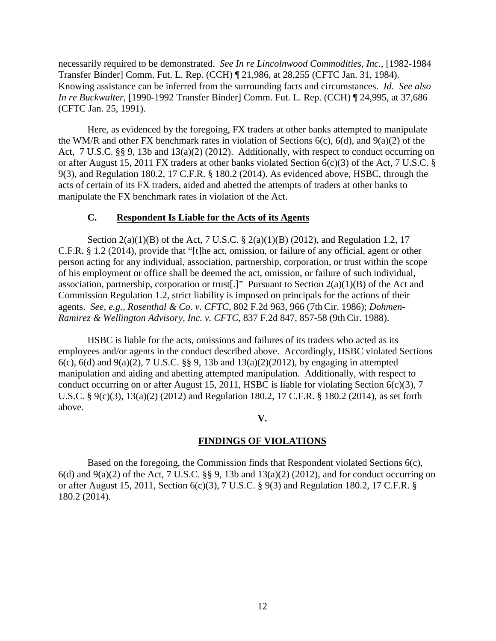necessarily required to be demonstrated. *See In re Lincolnwood Commodities, Inc.*, [1982-1984 Transfer Binder] Comm. Fut. L. Rep. (CCH) ¶ 21,986, at 28,255 (CFTC Jan. 31, 1984). Knowing assistance can be inferred from the surrounding facts and circumstances. *Id*. *See also In re Buckwalter*, [1990-1992 Transfer Binder] Comm. Fut. L. Rep. (CCH) ¶ 24,995, at 37,686 (CFTC Jan. 25, 1991).

Here, as evidenced by the foregoing, FX traders at other banks attempted to manipulate the WM/R and other FX benchmark rates in violation of Sections 6(c), 6(d), and 9(a)(2) of the Act, 7 U.S.C. §§ 9, 13b and 13(a)(2) (2012). Additionally, with respect to conduct occurring on or after August 15, 2011 FX traders at other banks violated Section 6(c)(3) of the Act, 7 U.S.C. § 9(3), and Regulation 180.2, 17 C.F.R. § 180.2 (2014). As evidenced above, HSBC, through the acts of certain of its FX traders, aided and abetted the attempts of traders at other banks to manipulate the FX benchmark rates in violation of the Act.

## **C. Respondent Is Liable for the Acts of its Agents**

Section 2(a)(1)(B) of the Act, 7 U.S.C. § 2(a)(1)(B) (2012), and Regulation 1.2, 17 C.F.R. § 1.2 (2014), provide that "[t]he act, omission, or failure of any official, agent or other person acting for any individual, association, partnership, corporation, or trust within the scope of his employment or office shall be deemed the act, omission, or failure of such individual, association, partnership, corporation or trust[.]" Pursuant to Section  $2(a)(1)(B)$  of the Act and Commission Regulation 1.2, strict liability is imposed on principals for the actions of their agents. *See, e.g., Rosenthal & Co. v. CFTC,* 802 F.2d 963, 966 (7th Cir. 1986); *Dohmen-Ramirez & Wellington Advisory, Inc. v. CFTC*, 837 F.2d 847, 857-58 (9th Cir. 1988).

HSBC is liable for the acts, omissions and failures of its traders who acted as its employees and/or agents in the conduct described above. Accordingly, HSBC violated Sections 6(c), 6(d) and 9(a)(2), 7 U.S.C. §§ 9, 13b and 13(a)(2)(2012), by engaging in attempted manipulation and aiding and abetting attempted manipulation. Additionally, with respect to conduct occurring on or after August 15, 2011, HSBC is liable for violating Section 6(c)(3), 7 U.S.C. § 9(c)(3), 13(a)(2) (2012) and Regulation 180.2, 17 C.F.R. § 180.2 (2014), as set forth above.

## **V.**

## **FINDINGS OF VIOLATIONS**

Based on the foregoing, the Commission finds that Respondent violated Sections 6(c),  $6(d)$  and  $9(a)(2)$  of the Act, 7 U.S.C. §§ 9, 13b and 13(a)(2) (2012), and for conduct occurring on or after August 15, 2011, Section 6(c)(3), 7 U.S.C. § 9(3) and Regulation 180.2, 17 C.F.R. § 180.2 (2014).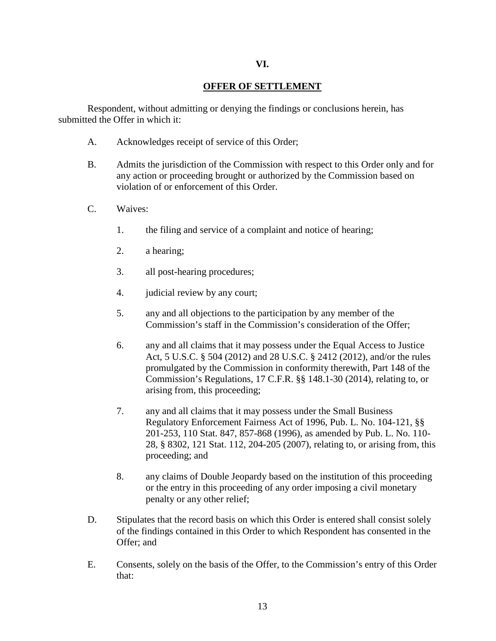#### **VI.**

## **OFFER OF SETTLEMENT**

Respondent, without admitting or denying the findings or conclusions herein, has submitted the Offer in which it:

- A. Acknowledges receipt of service of this Order;
- B. Admits the jurisdiction of the Commission with respect to this Order only and for any action or proceeding brought or authorized by the Commission based on violation of or enforcement of this Order.
- C. Waives:
	- 1. the filing and service of a complaint and notice of hearing;
	- 2. a hearing;
	- 3. all post-hearing procedures;
	- 4. judicial review by any court;
	- 5. any and all objections to the participation by any member of the Commission's staff in the Commission's consideration of the Offer;
	- 6. any and all claims that it may possess under the Equal Access to Justice Act, 5 U.S.C. § 504 (2012) and 28 U.S.C. § 2412 (2012), and/or the rules promulgated by the Commission in conformity therewith, Part 148 of the Commission's Regulations, 17 C.F.R. §§ 148.1-30 (2014), relating to, or arising from, this proceeding;
	- 7. any and all claims that it may possess under the Small Business Regulatory Enforcement Fairness Act of 1996, Pub. L. No. 104-121, §§ 201-253, 110 Stat. 847, 857-868 (1996), as amended by Pub. L. No. 110- 28, § 8302, 121 Stat. 112, 204-205 (2007), relating to, or arising from, this proceeding; and
	- 8. any claims of Double Jeopardy based on the institution of this proceeding or the entry in this proceeding of any order imposing a civil monetary penalty or any other relief;
- D. Stipulates that the record basis on which this Order is entered shall consist solely of the findings contained in this Order to which Respondent has consented in the Offer; and
- E. Consents, solely on the basis of the Offer, to the Commission's entry of this Order that: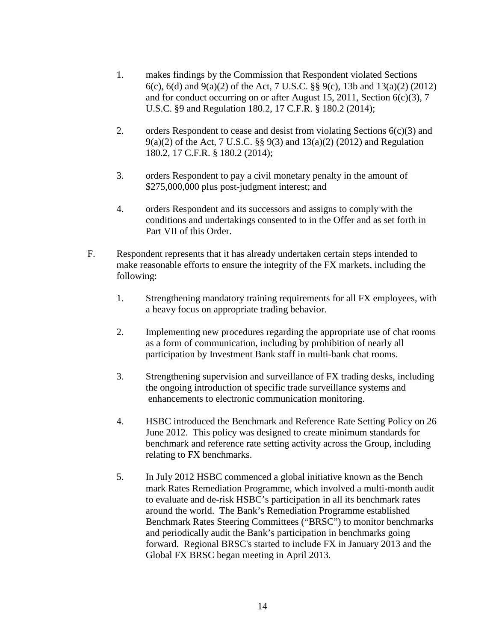- 1. makes findings by the Commission that Respondent violated Sections 6(c), 6(d) and 9(a)(2) of the Act, 7 U.S.C. §§ 9(c), 13b and 13(a)(2) (2012) and for conduct occurring on or after August 15, 2011, Section 6(c)(3), 7 U.S.C. §9 and Regulation 180.2, 17 C.F.R. § 180.2 (2014);
- 2. orders Respondent to cease and desist from violating Sections  $6(c)(3)$  and 9(a)(2) of the Act, 7 U.S.C. §§ 9(3) and 13(a)(2) (2012) and Regulation 180.2, 17 C.F.R. § 180.2 (2014);
- 3. orders Respondent to pay a civil monetary penalty in the amount of \$275,000,000 plus post-judgment interest; and
- 4. orders Respondent and its successors and assigns to comply with the conditions and undertakings consented to in the Offer and as set forth in Part VII of this Order.
- F. Respondent represents that it has already undertaken certain steps intended to make reasonable efforts to ensure the integrity of the FX markets, including the following:
	- 1. Strengthening mandatory training requirements for all FX employees, with a heavy focus on appropriate trading behavior.
	- 2. Implementing new procedures regarding the appropriate use of chat rooms as a form of communication, including by prohibition of nearly all participation by Investment Bank staff in multi-bank chat rooms.
	- 3. Strengthening supervision and surveillance of FX trading desks, including the ongoing introduction of specific trade surveillance systems and enhancements to electronic communication monitoring.
	- 4. HSBC introduced the Benchmark and Reference Rate Setting Policy on 26 June 2012. This policy was designed to create minimum standards for benchmark and reference rate setting activity across the Group, including relating to FX benchmarks.
	- 5. In July 2012 HSBC commenced a global initiative known as the Bench mark Rates Remediation Programme, which involved a multi-month audit to evaluate and de-risk HSBC's participation in all its benchmark rates around the world. The Bank's Remediation Programme established Benchmark Rates Steering Committees ("BRSC") to monitor benchmarks and periodically audit the Bank's participation in benchmarks going forward. Regional BRSC's started to include FX in January 2013 and the Global FX BRSC began meeting in April 2013.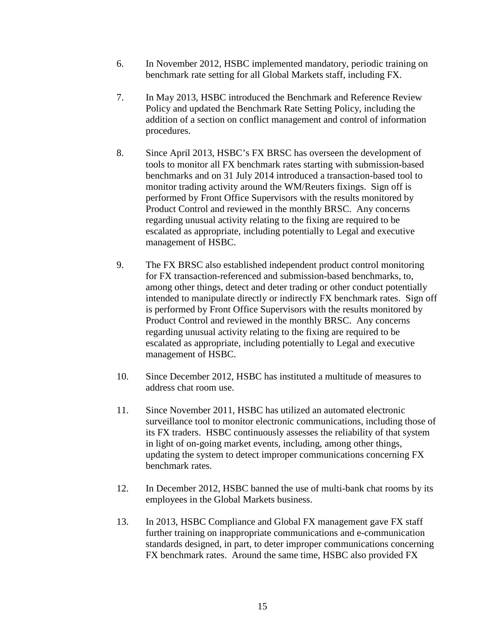- 6. In November 2012, HSBC implemented mandatory, periodic training on benchmark rate setting for all Global Markets staff, including FX.
- 7. In May 2013, HSBC introduced the Benchmark and Reference Review Policy and updated the Benchmark Rate Setting Policy, including the addition of a section on conflict management and control of information procedures.
- 8. Since April 2013, HSBC's FX BRSC has overseen the development of tools to monitor all FX benchmark rates starting with submission-based benchmarks and on 31 July 2014 introduced a transaction-based tool to monitor trading activity around the WM/Reuters fixings. Sign off is performed by Front Office Supervisors with the results monitored by Product Control and reviewed in the monthly BRSC. Any concerns regarding unusual activity relating to the fixing are required to be escalated as appropriate, including potentially to Legal and executive management of HSBC.
- 9. The FX BRSC also established independent product control monitoring for FX transaction-referenced and submission-based benchmarks, to, among other things, detect and deter trading or other conduct potentially intended to manipulate directly or indirectly FX benchmark rates. Sign off is performed by Front Office Supervisors with the results monitored by Product Control and reviewed in the monthly BRSC. Any concerns regarding unusual activity relating to the fixing are required to be escalated as appropriate, including potentially to Legal and executive management of HSBC.
- 10. Since December 2012, HSBC has instituted a multitude of measures to address chat room use.
- 11. Since November 2011, HSBC has utilized an automated electronic surveillance tool to monitor electronic communications, including those of its FX traders. HSBC continuously assesses the reliability of that system in light of on-going market events, including, among other things, updating the system to detect improper communications concerning FX benchmark rates.
- 12. In December 2012, HSBC banned the use of multi-bank chat rooms by its employees in the Global Markets business.
- 13. In 2013, HSBC Compliance and Global FX management gave FX staff further training on inappropriate communications and e-communication standards designed, in part, to deter improper communications concerning FX benchmark rates. Around the same time, HSBC also provided FX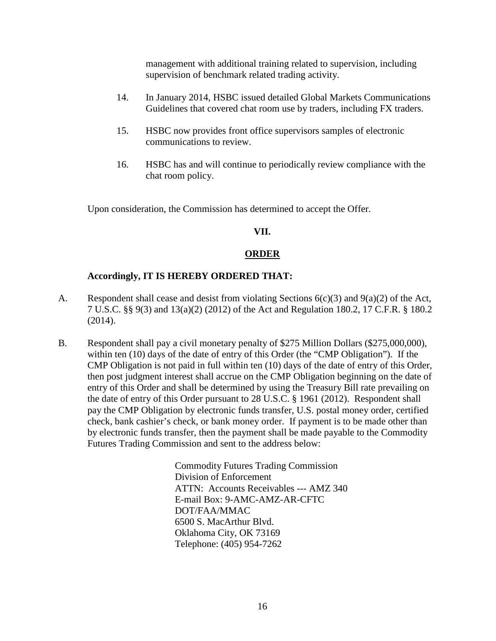management with additional training related to supervision, including supervision of benchmark related trading activity.

- 14. In January 2014, HSBC issued detailed Global Markets Communications Guidelines that covered chat room use by traders, including FX traders.
- 15. HSBC now provides front office supervisors samples of electronic communications to review.
- 16. HSBC has and will continue to periodically review compliance with the chat room policy.

Upon consideration, the Commission has determined to accept the Offer.

## **VII.**

# **ORDER**

# **Accordingly, IT IS HEREBY ORDERED THAT:**

- A. Respondent shall cease and desist from violating Sections 6(c)(3) and 9(a)(2) of the Act, 7 U.S.C. §§ 9(3) and 13(a)(2) (2012) of the Act and Regulation 180.2, 17 C.F.R. § 180.2 (2014).
- B. Respondent shall pay a civil monetary penalty of \$275 Million Dollars (\$275,000,000), within ten (10) days of the date of entry of this Order (the "CMP Obligation"). If the CMP Obligation is not paid in full within ten (10) days of the date of entry of this Order, then post judgment interest shall accrue on the CMP Obligation beginning on the date of entry of this Order and shall be determined by using the Treasury Bill rate prevailing on the date of entry of this Order pursuant to 28 U.S.C. § 1961 (2012). Respondent shall pay the CMP Obligation by electronic funds transfer, U.S. postal money order, certified check, bank cashier's check, or bank money order. If payment is to be made other than by electronic funds transfer, then the payment shall be made payable to the Commodity Futures Trading Commission and sent to the address below:

Commodity Futures Trading Commission Division of Enforcement ATTN: Accounts Receivables --- AMZ 340 E-mail Box: 9-AMC-AMZ-AR-CFTC DOT/FAA/MMAC 6500 S. MacArthur Blvd. Oklahoma City, OK 73169 Telephone: (405) 954-7262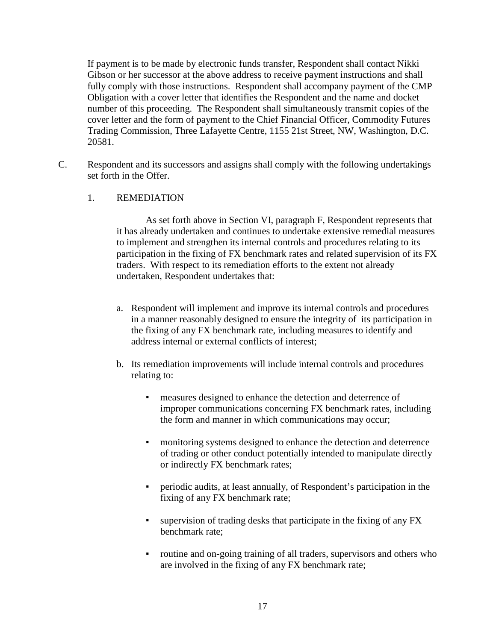If payment is to be made by electronic funds transfer, Respondent shall contact Nikki Gibson or her successor at the above address to receive payment instructions and shall fully comply with those instructions. Respondent shall accompany payment of the CMP Obligation with a cover letter that identifies the Respondent and the name and docket number of this proceeding. The Respondent shall simultaneously transmit copies of the cover letter and the form of payment to the Chief Financial Officer, Commodity Futures Trading Commission, Three Lafayette Centre, 1155 21st Street, NW, Washington, D.C. 20581.

C. Respondent and its successors and assigns shall comply with the following undertakings set forth in the Offer.

## 1. REMEDIATION

As set forth above in Section VI, paragraph F, Respondent represents that it has already undertaken and continues to undertake extensive remedial measures to implement and strengthen its internal controls and procedures relating to its participation in the fixing of FX benchmark rates and related supervision of its FX traders. With respect to its remediation efforts to the extent not already undertaken, Respondent undertakes that:

- a. Respondent will implement and improve its internal controls and procedures in a manner reasonably designed to ensure the integrity of its participation in the fixing of any FX benchmark rate, including measures to identify and address internal or external conflicts of interest;
- b. Its remediation improvements will include internal controls and procedures relating to:
	- measures designed to enhance the detection and deterrence of improper communications concerning FX benchmark rates, including the form and manner in which communications may occur;
	- monitoring systems designed to enhance the detection and deterrence of trading or other conduct potentially intended to manipulate directly or indirectly FX benchmark rates;
	- periodic audits, at least annually, of Respondent's participation in the fixing of any FX benchmark rate;
	- supervision of trading desks that participate in the fixing of any FX benchmark rate;
	- routine and on-going training of all traders, supervisors and others who are involved in the fixing of any FX benchmark rate;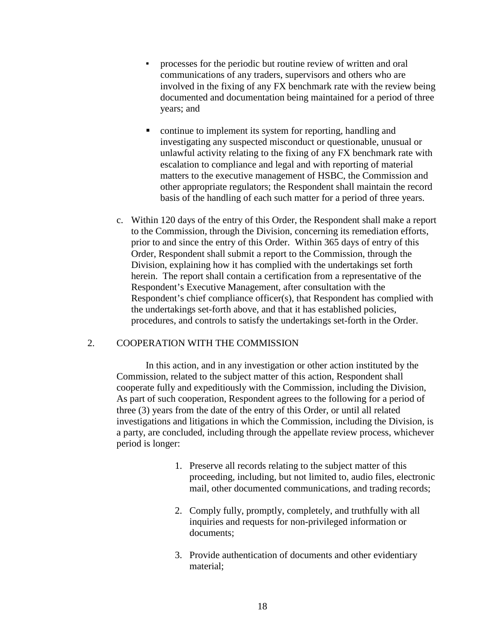- processes for the periodic but routine review of written and oral communications of any traders, supervisors and others who are involved in the fixing of any FX benchmark rate with the review being documented and documentation being maintained for a period of three years; and
- continue to implement its system for reporting, handling and investigating any suspected misconduct or questionable, unusual or unlawful activity relating to the fixing of any FX benchmark rate with escalation to compliance and legal and with reporting of material matters to the executive management of HSBC, the Commission and other appropriate regulators; the Respondent shall maintain the record basis of the handling of each such matter for a period of three years.
- c. Within 120 days of the entry of this Order, the Respondent shall make a report to the Commission, through the Division, concerning its remediation efforts, prior to and since the entry of this Order. Within 365 days of entry of this Order, Respondent shall submit a report to the Commission, through the Division, explaining how it has complied with the undertakings set forth herein. The report shall contain a certification from a representative of the Respondent's Executive Management, after consultation with the Respondent's chief compliance officer(s), that Respondent has complied with the undertakings set-forth above, and that it has established policies, procedures, and controls to satisfy the undertakings set-forth in the Order.

## 2. COOPERATION WITH THE COMMISSION

In this action, and in any investigation or other action instituted by the Commission, related to the subject matter of this action, Respondent shall cooperate fully and expeditiously with the Commission, including the Division, As part of such cooperation, Respondent agrees to the following for a period of three (3) years from the date of the entry of this Order, or until all related investigations and litigations in which the Commission, including the Division, is a party, are concluded, including through the appellate review process, whichever period is longer:

- 1. Preserve all records relating to the subject matter of this proceeding, including, but not limited to, audio files, electronic mail, other documented communications, and trading records;
- 2. Comply fully, promptly, completely, and truthfully with all inquiries and requests for non-privileged information or documents;
- 3. Provide authentication of documents and other evidentiary material;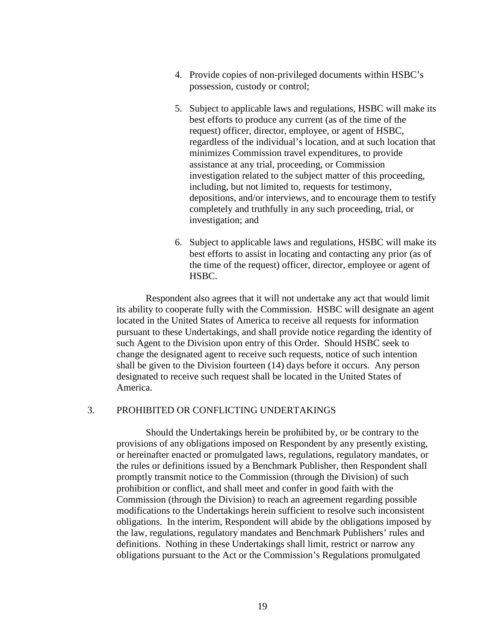- 4. Provide copies of non-privileged documents within HSBC's possession, custody or control;
- 5. Subject to applicable laws and regulations, HSBC will make its best efforts to produce any current (as of the time of the request) officer, director, employee, or agent of HSBC, regardless of the individual's location, and at such location that minimizes Commission travel expenditures, to provide assistance at any trial, proceeding, or Commission investigation related to the subject matter of this proceeding, including, but not limited to, requests for testimony, depositions, and/or interviews, and to encourage them to testify completely and truthfully in any such proceeding, trial, or investigation; and
- 6. Subject to applicable laws and regulations, HSBC will make its best efforts to assist in locating and contacting any prior (as of the time of the request) officer, director, employee or agent of HSBC.

Respondent also agrees that it will not undertake any act that would limit its ability to cooperate fully with the Commission. HSBC will designate an agent located in the United States of America to receive all requests for information pursuant to these Undertakings, and shall provide notice regarding the identity of such Agent to the Division upon entry of this Order. Should HSBC seek to change the designated agent to receive such requests, notice of such intention shall be given to the Division fourteen (14) days before it occurs. Any person designated to receive such request shall be located in the United States of America.

# 3. PROHIBITED OR CONFLICTING UNDERTAKINGS

Should the Undertakings herein be prohibited by, or be contrary to the provisions of any obligations imposed on Respondent by any presently existing, or hereinafter enacted or promulgated laws, regulations, regulatory mandates, or the rules or definitions issued by a Benchmark Publisher, then Respondent shall promptly transmit notice to the Commission (through the Division) of such prohibition or conflict, and shall meet and confer in good faith with the Commission (through the Division) to reach an agreement regarding possible modifications to the Undertakings herein sufficient to resolve such inconsistent obligations. In the interim, Respondent will abide by the obligations imposed by the law, regulations, regulatory mandates and Benchmark Publishers' rules and definitions. Nothing in these Undertakings shall limit, restrict or narrow any obligations pursuant to the Act or the Commission's Regulations promulgated